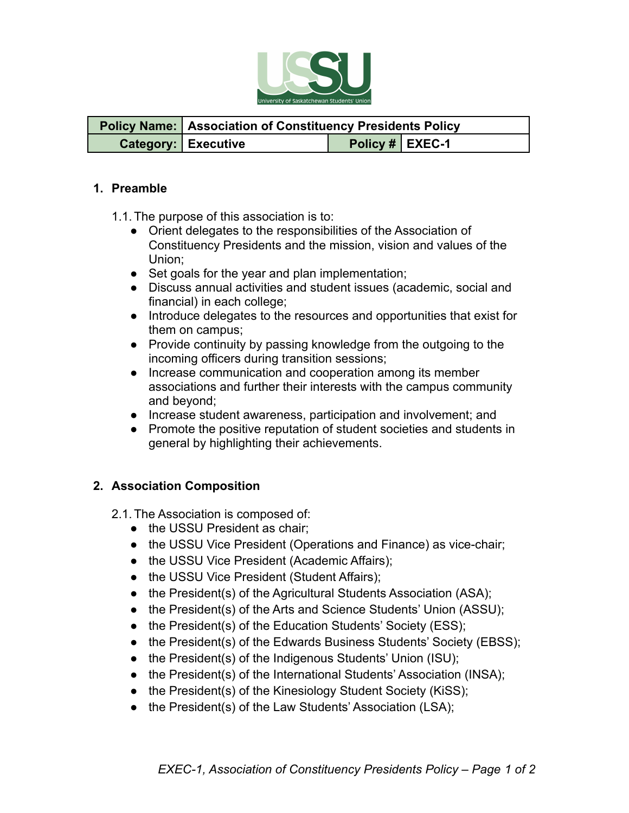

| <b>Policy Name:</b> Association of Constituency Presidents Policy |                 |  |
|-------------------------------------------------------------------|-----------------|--|
| <b>Category: Executive</b>                                        | Policy # EXEC-1 |  |

## **1. Preamble**

1.1.The purpose of this association is to:

- Orient delegates to the responsibilities of the Association of Constituency Presidents and the mission, vision and values of the Union;
- Set goals for the year and plan implementation;
- Discuss annual activities and student issues (academic, social and financial) in each college;
- Introduce delegates to the resources and opportunities that exist for them on campus;
- Provide continuity by passing knowledge from the outgoing to the incoming officers during transition sessions;
- Increase communication and cooperation among its member associations and further their interests with the campus community and beyond;
- Increase student awareness, participation and involvement; and
- Promote the positive reputation of student societies and students in general by highlighting their achievements.

## **2. Association Composition**

2.1.The Association is composed of:

- the USSU President as chair;
- the USSU Vice President (Operations and Finance) as vice-chair;
- the USSU Vice President (Academic Affairs);
- the USSU Vice President (Student Affairs);
- the President(s) of the Agricultural Students Association (ASA);
- the President(s) of the Arts and Science Students' Union (ASSU);
- the President(s) of the Education Students' Society (ESS);
- the President(s) of the Edwards Business Students' Society (EBSS);
- the President(s) of the Indigenous Students' Union (ISU);
- the President(s) of the International Students' Association (INSA);
- the President(s) of the Kinesiology Student Society (KiSS);
- the President(s) of the Law Students' Association (LSA);